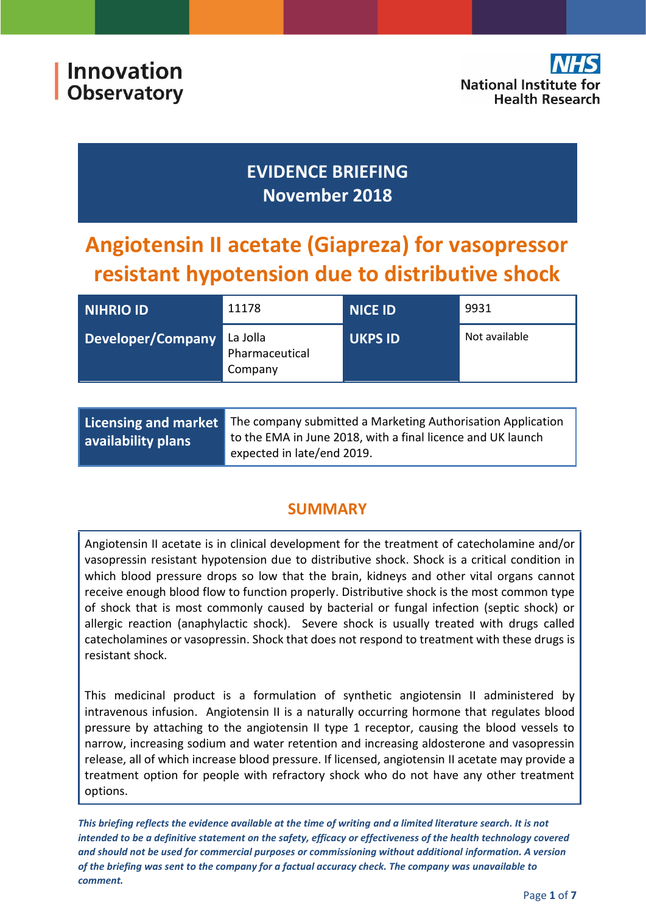

## **EVIDENCE BRIEFING November 2018**

# **Angiotensin II acetate (Giapreza) for vasopressor resistant hypotension due to distributive shock**

| <b>NIHRIO ID</b>  | 11178                                 | <b>NICE ID</b> | 9931          |
|-------------------|---------------------------------------|----------------|---------------|
| Developer/Company | La Jolla<br>Pharmaceutical<br>Company | <b>UKPS ID</b> | Not available |
|                   |                                       |                |               |

| Licensing and market | The company submitted a Marketing Authorisation Application                               |  |
|----------------------|-------------------------------------------------------------------------------------------|--|
| availability plans   | to the EMA in June 2018, with a final licence and UK launch<br>expected in late/end 2019. |  |

## **SUMMARY**

Angiotensin II acetate is in clinical development for the treatment of catecholamine and/or vasopressin resistant hypotension due to distributive shock. Shock is a critical condition in which blood pressure drops so low that the brain, kidneys and other vital organs cannot receive enough blood flow to function properly. Distributive shock is the most common type of shock that is most commonly caused by bacterial or fungal infection (septic shock) or allergic reaction (anaphylactic shock). Severe shock is usually treated with drugs called catecholamines or vasopressin. Shock that does not respond to treatment with these drugs is resistant shock.

This medicinal product is a formulation of synthetic angiotensin II administered by intravenous infusion. Angiotensin II is a naturally occurring hormone that regulates blood pressure by attaching to the angiotensin II type 1 receptor, causing the blood vessels to narrow, increasing sodium and water retention and increasing aldosterone and vasopressin release, all of which increase blood pressure. If licensed, angiotensin II acetate may provide a treatment option for people with refractory shock who do not have any other treatment options.

*This briefing reflects the evidence available at the time of writing and a limited literature search. It is not intended to be a definitive statement on the safety, efficacy or effectiveness of the health technology covered and should not be used for commercial purposes or commissioning without additional information. A version of the briefing was sent to the company for a factual accuracy check. The company was unavailable to comment.*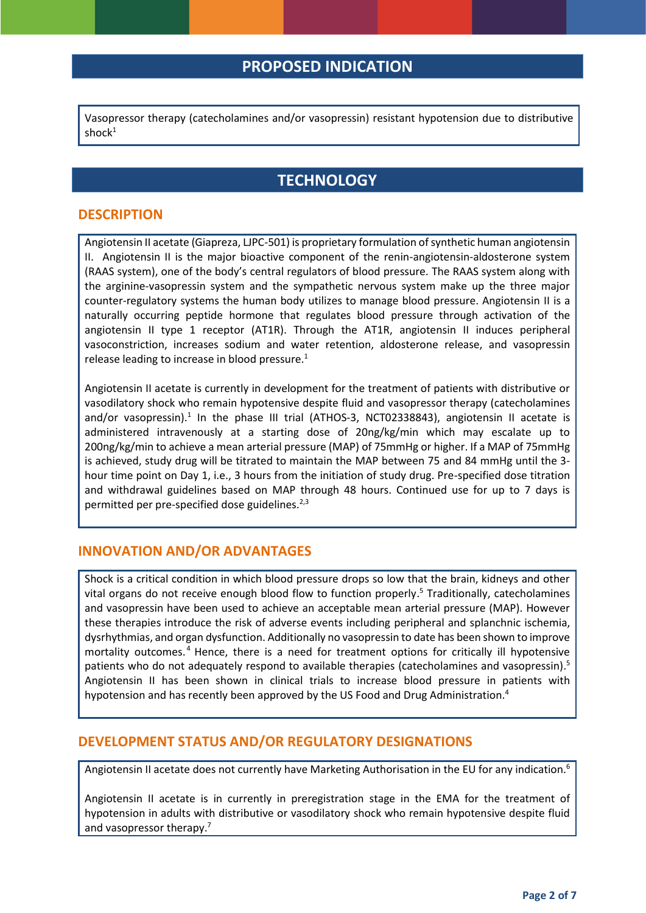## **PROPOSED INDICATION**

<span id="page-1-0"></span>Vasopressor therapy (catecholamines and/or vasopressin) resistant hypotension due to distributive shoc $k<sup>1</sup>$ 

## **TECHNOLOGY**

#### **DESCRIPTION**

Angiotensin II acetate (Giapreza, LJPC-501) is proprietary formulation of synthetic human angiotensin II. Angiotensin II is the major bioactive component of the renin-angiotensin-aldosterone system (RAAS system), one of the body's central regulators of blood pressure. The RAAS system along with the arginine-vasopressin system and the sympathetic nervous system make up the three major counter-regulatory systems the human body utilizes to manage blood pressure. Angiotensin II is a naturally occurring peptide hormone that regulates blood pressure through activation of the angiotensin II type 1 receptor (AT1R). Through the AT1R, angiotensin II induces peripheral vasoconstriction, increases sodium and water retention, aldosterone release, and vasopressin release leading to increase in blood pressure[.](#page-1-0)<sup>1</sup>

Angiotensin II acetate is currently in development for the treatment of patients with distributive or vasodilatory shock who remain hypotensive despite fluid and vasopressor therapy (catecholamines and/or vasopressin).<sup>[1](#page-1-0)</sup> In the phase III trial (ATHOS-3, NCT02338843), angiotensin II acetate is administered intravenously at a starting dose of 20ng/kg/min which may escalate up to 200ng/kg/min to achieve a mean arterial pressure (MAP) of 75mmHg or higher. If a MAP of 75mmHg is achieved, study drug will be titrated to maintain the MAP between 75 and 84 mmHg until the 3 hour time point on Day 1, i.e., 3 hours from the initiation of study drug. Pre-specified dose titration and withdrawal guidelines based on MAP through 48 hours. Continued use for up to 7 days is permitted per pre-specified dose guidelines.<sup>2,3</sup>

#### <span id="page-1-4"></span><span id="page-1-3"></span>**INNOVATION AND/OR ADVANTAGES**

<span id="page-1-2"></span><span id="page-1-1"></span>Shock is a critical condition in which blood pressure drops so low that the brain, kidneys and other vital organs do not receive enough blood flow to function properly[.](#page-1-1) <sup>5</sup> Traditionally, catecholamines and vasopressin have been used to achieve an acceptable mean arterial pressure (MAP). However these therapies introduce the risk of adverse events including peripheral and splanchnic ischemia, dysrhythmias, and organ dysfunction. Additionally no vasopressin to date has been shown to improve mortality outcomes. <sup>4</sup> Hence, there is a need for treatment options for critically ill hypotensive patients who do not adequately respond to available therapies (catecholamines and vasopressin).<sup>5</sup> Angiotensin II has been shown in clinical trials to increase blood pressure in patients with hypotension and has recently been approved by the US Food and Drug Administration[.](#page-1-2) 4

#### **DEVELOPMENT STATUS AND/OR REGULATORY DESIGNATIONS**

Angiotensin II acetate does not currently have Marketing Authorisation in the EU for any indication.<sup>6</sup>

Angiotensin II acetate is in currently in preregistration stage in the EMA for the treatment of hypotension in adults with distributive or vasodilatory shock who remain hypotensive despite fluid and vasopressor therapy.<sup>7</sup>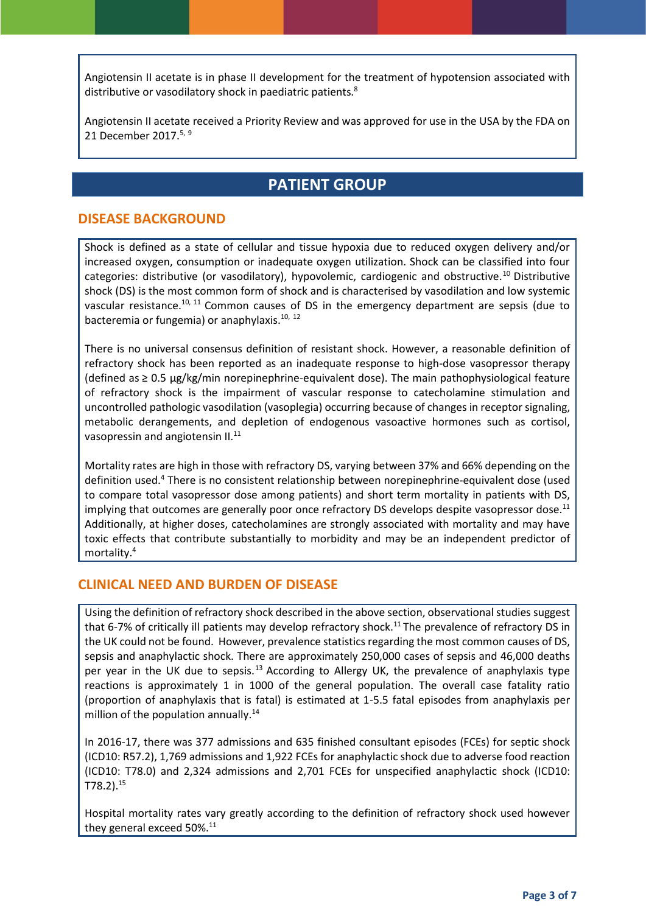Angiotensin II acetate is in phase II development for the treatment of hypotension associated with distributive or vasodilatory shock in paediatric patients.<sup>8</sup>

Angiotensin II acetate received a Priority Review and was approved for use in the USA by the FDA on 21 December 2017.<sup>[5,](#page-1-1) 9</sup>

## <span id="page-2-3"></span><span id="page-2-1"></span><span id="page-2-0"></span>**PATIENT GROUP**

#### **DISEASE BACKGROUND**

Shock is defined as a state of cellular and tissue hypoxia due to reduced oxygen delivery and/or increased oxygen, consumption or inadequate oxygen utilization. Shock can be classified into four categories: distributive (or vasodilatory), hypovolemic, cardiogenic and obstructive.<sup>10</sup> Distributive shock (DS) is the most common form of shock and is characterised by vasodilation and low systemic vascular resistance.<sup>[10,](#page-2-0) 11</sup> Common causes of DS in the emergency department are sepsis (due to bacteremia or fungemia) or anaphylaxis.<sup>[10,](#page-2-1) 12</sup>

<span id="page-2-2"></span>There is no universal consensus definition of resistant shock. However, a reasonable definition of refractory shock has been reported as an inadequate response to high-dose vasopressor therapy (defined as ≥ 0.5 μg/kg/min norepinephrine-equivalent dose). The main pathophysiological feature of refractory shock is the impairment of vascular response to catecholamine stimulation and uncontrolled pathologic vasodilation (vasoplegia) occurring because of changes in receptor signaling, metabolic derangements, and depletion of endogenous vasoactive hormones such as cortisol, vasopressin and angiotensin II.<sup>[11](#page-2-2)</sup>

Mortality rates are high in those with refractory DS, varying between 37% and 66% depending on the definition used.<sup>[4](#page-1-2)</sup> There is no consistent relationship between norepinephrine-equivalent dose (used to compare total vasopressor dose among patients) and short term mortality in patients with DS, implying that outcomes are generally poor once refractory DS develops despite vasopressor dose.<sup>[11](#page-2-2)</sup> Additionally, at higher doses, catecholamines are strongly associated with mortality and may have toxic effects that contribute substantially to morbidity and may be an independent predictor of mortality.[4](#page-1-2)

#### **CLINICAL NEED AND BURDEN OF DISEASE**

Using the definition of refractory shock described in the above section, observational studies suggest that 6-7% of critically ill patients may develop refractory shock.<sup>[11](#page-2-2)</sup> The prevalence of refractory DS in the UK could not be found. However, prevalence statistics regarding the most common causes of DS, sepsis and anaphylactic shock. There are approximately 250,000 cases of sepsis and 46,000 deaths per year in the UK due to sepsis.<sup>13</sup> According to Allergy UK, the prevalence of anaphylaxis type reactions is approximately 1 in 1000 of the general population. The overall case fatality ratio (proportion of anaphylaxis that is fatal) is estimated at 1-5.5 fatal episodes from anaphylaxis per million of the population annually. $14$ 

In 2016-17, there was 377 admissions and 635 finished consultant episodes (FCEs) for septic shock (ICD10: R57.2), 1,769 admissions and 1,922 FCEs for anaphylactic shock due to adverse food reaction (ICD10: T78.0) and 2,324 admissions and 2,701 FCEs for unspecified anaphylactic shock (ICD10: T78.2).<sup>15</sup>

Hospital mortality rates vary greatly according to the definition of refractory shock used however they general exceed 50%.<sup>[11](#page-2-2)</sup>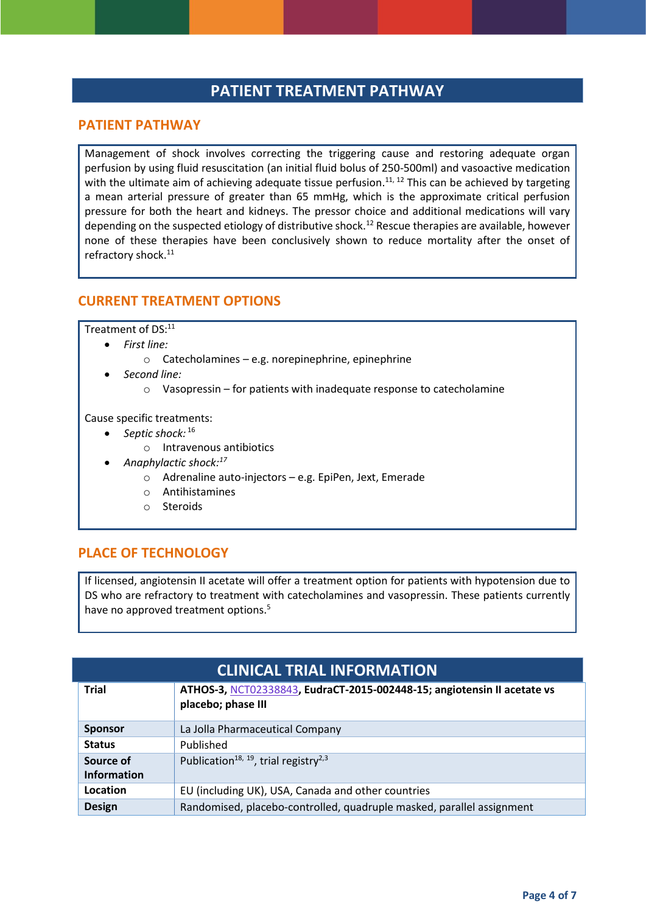## **PATIENT TREATMENT PATHWAY**

#### **PATIENT PATHWAY**

Management of shock involves correcting the triggering cause and restoring adequate organ perfusion by using fluid resuscitation (an initial fluid bolus of 250-500ml) and vasoactive medication with the ultimate aim of achieving adequate tissue perfusion.<sup>[11,](#page-2-2) [12](#page-2-3)</sup> This can be achieved by targeting a mean arterial pressure of greater than 65 mmHg, which is the approximate critical perfusion pressure for both the heart and kidneys. The pressor choice and additional medications will vary depending on the suspected etiology of distributive shock.<sup>[12](#page-2-3)</sup> Rescue therapies are available, however none of these therapies have been conclusively shown to reduce mortality after the onset of refractory shock.<sup>[11](#page-2-2)</sup>

#### **CURRENT TREATMENT OPTIONS**

Treatment of DS:<sup>[11](#page-2-2)</sup>

- *First line:*
	- o Catecholamines e.g. norepinephrine, epinephrine
	- *Second line:*
		- o Vasopressin for patients with inadequate response to catecholamine

Cause specific treatments:

- *Septic shock:* <sup>16</sup>
	- o Intravenous antibiotics
- *Anaphylactic shock:<sup>17</sup>*
	- o Adrenaline auto-injectors e.g. EpiPen, Jext, Emerade
	- o Antihistamines
	- o Steroids

#### **PLACE OF TECHNOLOGY**

If licensed, angiotensin II acetate will offer a treatment option for patients with hypotension due to DS who are refractory to treatment with catecholamines and vasopressin. These patients currently have no approved treatment options.<sup>[5](#page-1-1)</sup>

| <b>CLINICAL TRIAL INFORMATION</b> |                                                                                               |  |
|-----------------------------------|-----------------------------------------------------------------------------------------------|--|
| <b>Trial</b>                      | ATHOS-3, NCT02338843, EudraCT-2015-002448-15; angiotensin II acetate vs<br>placebo; phase III |  |
| <b>Sponsor</b>                    | La Jolla Pharmaceutical Company                                                               |  |
| <b>Status</b>                     | Published                                                                                     |  |
| Source of                         | Publication <sup>18, 19</sup> , trial registry <sup>2,3</sup>                                 |  |
| <b>Information</b>                |                                                                                               |  |
| Location                          | EU (including UK), USA, Canada and other countries                                            |  |
| <b>Design</b>                     | Randomised, placebo-controlled, quadruple masked, parallel assignment                         |  |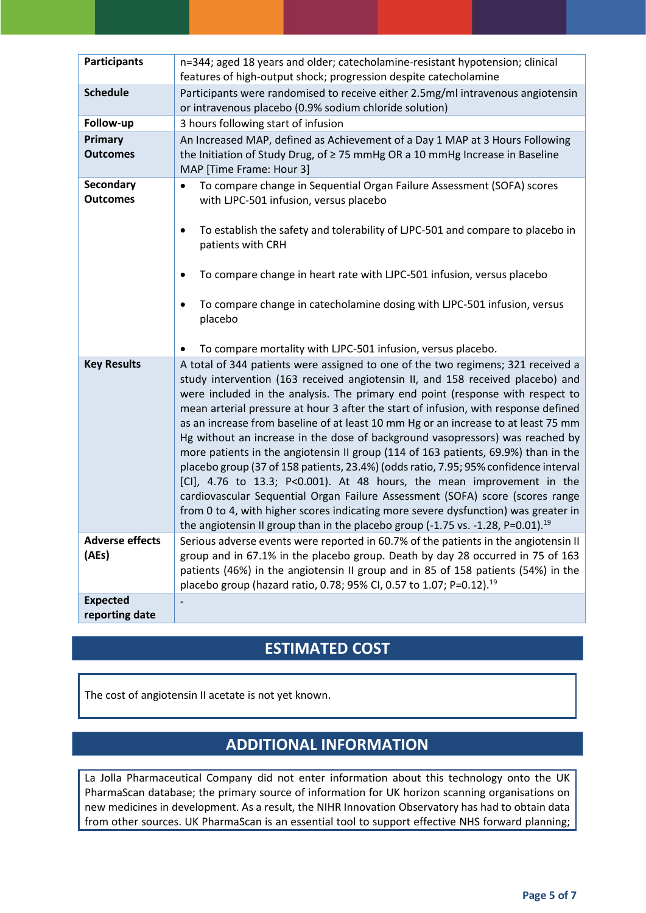| <b>Participants</b>          | n=344; aged 18 years and older; catecholamine-resistant hypotension; clinical<br>features of high-output shock; progression despite catecholamine                                                                                                                                                                                                                                                                                                                                                                                                                                                                                                                                                                                                                                                                                                                                                                                                                                                                                                |
|------------------------------|--------------------------------------------------------------------------------------------------------------------------------------------------------------------------------------------------------------------------------------------------------------------------------------------------------------------------------------------------------------------------------------------------------------------------------------------------------------------------------------------------------------------------------------------------------------------------------------------------------------------------------------------------------------------------------------------------------------------------------------------------------------------------------------------------------------------------------------------------------------------------------------------------------------------------------------------------------------------------------------------------------------------------------------------------|
| <b>Schedule</b>              | Participants were randomised to receive either 2.5mg/ml intravenous angiotensin<br>or intravenous placebo (0.9% sodium chloride solution)                                                                                                                                                                                                                                                                                                                                                                                                                                                                                                                                                                                                                                                                                                                                                                                                                                                                                                        |
| Follow-up                    | 3 hours following start of infusion                                                                                                                                                                                                                                                                                                                                                                                                                                                                                                                                                                                                                                                                                                                                                                                                                                                                                                                                                                                                              |
| Primary<br><b>Outcomes</b>   | An Increased MAP, defined as Achievement of a Day 1 MAP at 3 Hours Following<br>the Initiation of Study Drug, of $\geq$ 75 mmHg OR a 10 mmHg Increase in Baseline<br>MAP [Time Frame: Hour 3]                                                                                                                                                                                                                                                                                                                                                                                                                                                                                                                                                                                                                                                                                                                                                                                                                                                    |
| Secondary<br><b>Outcomes</b> | To compare change in Sequential Organ Failure Assessment (SOFA) scores<br>$\bullet$<br>with LJPC-501 infusion, versus placebo<br>To establish the safety and tolerability of LJPC-501 and compare to placebo in<br>٠<br>patients with CRH<br>To compare change in heart rate with LJPC-501 infusion, versus placebo<br>$\bullet$<br>To compare change in catecholamine dosing with LJPC-501 infusion, versus<br>$\bullet$<br>placebo                                                                                                                                                                                                                                                                                                                                                                                                                                                                                                                                                                                                             |
|                              | To compare mortality with LJPC-501 infusion, versus placebo.                                                                                                                                                                                                                                                                                                                                                                                                                                                                                                                                                                                                                                                                                                                                                                                                                                                                                                                                                                                     |
| <b>Key Results</b>           | A total of 344 patients were assigned to one of the two regimens; 321 received a<br>study intervention (163 received angiotensin II, and 158 received placebo) and<br>were included in the analysis. The primary end point (response with respect to<br>mean arterial pressure at hour 3 after the start of infusion, with response defined<br>as an increase from baseline of at least 10 mm Hg or an increase to at least 75 mm<br>Hg without an increase in the dose of background vasopressors) was reached by<br>more patients in the angiotensin II group (114 of 163 patients, 69.9%) than in the<br>placebo group (37 of 158 patients, 23.4%) (odds ratio, 7.95; 95% confidence interval<br>[CI], 4.76 to 13.3; P<0.001). At 48 hours, the mean improvement in the<br>cardiovascular Sequential Organ Failure Assessment (SOFA) score (scores range<br>from 0 to 4, with higher scores indicating more severe dysfunction) was greater in<br>the angiotensin II group than in the placebo group (-1.75 vs. -1.28, P=0.01). <sup>19</sup> |
| <b>Adverse effects</b>       | Serious adverse events were reported in 60.7% of the patients in the angiotensin II                                                                                                                                                                                                                                                                                                                                                                                                                                                                                                                                                                                                                                                                                                                                                                                                                                                                                                                                                              |
| (AEs)                        | group and in 67.1% in the placebo group. Death by day 28 occurred in 75 of 163<br>patients (46%) in the angiotensin II group and in 85 of 158 patients (54%) in the<br>placebo group (hazard ratio, 0.78; 95% CI, 0.57 to 1.07; P=0.12). <sup>19</sup>                                                                                                                                                                                                                                                                                                                                                                                                                                                                                                                                                                                                                                                                                                                                                                                           |
| <b>Expected</b>              |                                                                                                                                                                                                                                                                                                                                                                                                                                                                                                                                                                                                                                                                                                                                                                                                                                                                                                                                                                                                                                                  |
| reporting date               |                                                                                                                                                                                                                                                                                                                                                                                                                                                                                                                                                                                                                                                                                                                                                                                                                                                                                                                                                                                                                                                  |

## <span id="page-4-0"></span>**ESTIMATED COST**

The cost of angiotensin II acetate is not yet known.

## **ADDITIONAL INFORMATION**

La Jolla Pharmaceutical Company did not enter information about this technology onto the UK PharmaScan database; the primary source of information for UK horizon scanning organisations on new medicines in development. As a result, the NIHR Innovation Observatory has had to obtain data from other sources. UK PharmaScan is an essential tool to support effective NHS forward planning;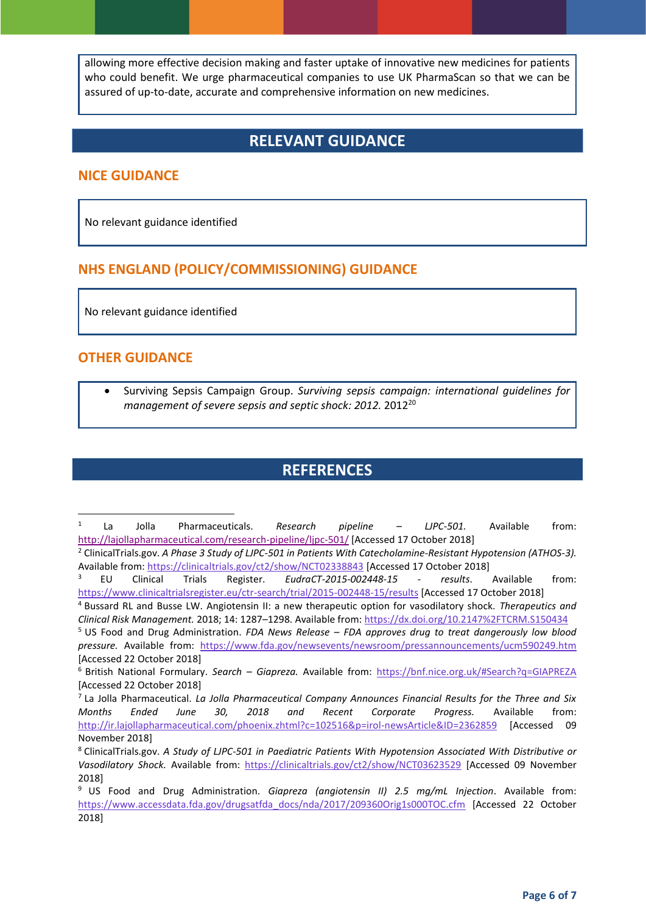allowing more effective decision making and faster uptake of innovative new medicines for patients who could benefit. We urge pharmaceutical companies to use UK PharmaScan so that we can be assured of up-to-date, accurate and comprehensive information on new medicines.

## **RELEVANT GUIDANCE**

#### **NICE GUIDANCE**

No relevant guidance identified

#### **NHS ENGLAND (POLICY/COMMISSIONING) GUIDANCE**

No relevant guidance identified

#### **OTHER GUIDANCE**

**.** 

 Surviving Sepsis Campaign Group. *Surviving sepsis campaign: international guidelines for management of severe sepsis and septic shock: 2012.* 2012<sup>20</sup>

## **REFERENCES**

<sup>1</sup> La Jolla Pharmaceuticals. *Research pipeline – LJPC-501.* Available from: <http://lajollapharmaceutical.com/research-pipeline/ljpc-501/> [Accessed 17 October 2018]

<sup>2</sup> ClinicalTrials.gov. *A Phase 3 Study of LJPC-501 in Patients With Catecholamine-Resistant Hypotension (ATHOS-3).* Available from:<https://clinicaltrials.gov/ct2/show/NCT02338843> [Accessed 17 October 2018]

<sup>3</sup> EU Clinical Trials Register. *EudraCT-2015-002448-15 - results*. Available from: <https://www.clinicaltrialsregister.eu/ctr-search/trial/2015-002448-15/results> [Accessed 17 October 2018]

<sup>4</sup> Bussard RL and Busse LW. Angiotensin II: a new therapeutic option for vasodilatory shock. *Therapeutics and Clinical Risk Management.* 2018; 14: 1287–1298. Available from:<https://dx.doi.org/10.2147%2FTCRM.S150434>

<sup>5</sup> US Food and Drug Administration. *FDA News Release – FDA approves drug to treat dangerously low blood pressure.* Available from: <https://www.fda.gov/newsevents/newsroom/pressannouncements/ucm590249.htm> [Accessed 22 October 2018]

<sup>6</sup> British National Formulary. *Search – Giapreza.* Available from:<https://bnf.nice.org.uk/#Search?q=GIAPREZA> [Accessed 22 October 2018]

<sup>7</sup> La Jolla Pharmaceutical. *La Jolla Pharmaceutical Company Announces Financial Results for the Three and Six Months Ended June 30, 2018 and Recent Corporate Progress.* Available from: <http://ir.lajollapharmaceutical.com/phoenix.zhtml?c=102516&p=irol-newsArticle&ID=2362859> [Accessed 09 November 2018]

<sup>8</sup> ClinicalTrials.gov. *A Study of LJPC-501 in Paediatric Patients With Hypotension Associated With Distributive or Vasodilatory Shock.* Available from: <https://clinicaltrials.gov/ct2/show/NCT03623529> [Accessed 09 November 2018]

<sup>9</sup> US Food and Drug Administration. *Giapreza (angiotensin II) 2.5 mg/mL Injection*. Available from: [https://www.accessdata.fda.gov/drugsatfda\\_docs/nda/2017/209360Orig1s000TOC.cfm](https://www.accessdata.fda.gov/drugsatfda_docs/nda/2017/209360Orig1s000TOC.cfm) [Accessed 22 October 2018]